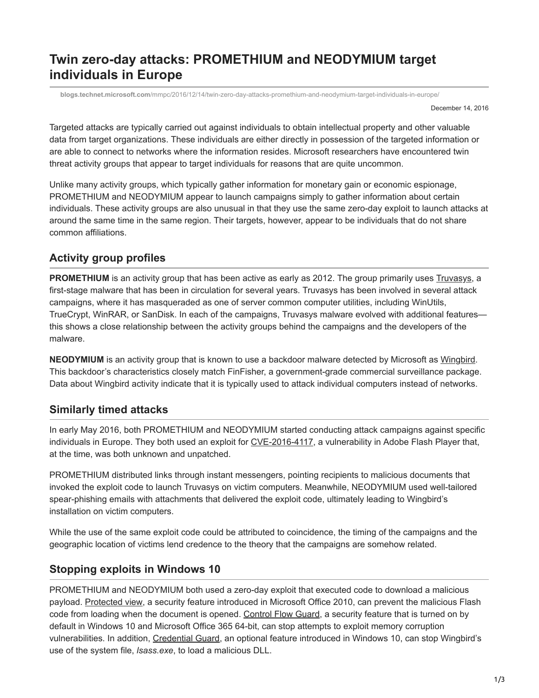# **Twin zero-day attacks: PROMETHIUM and NEODYMIUM target individuals in Europe**

**blogs.technet.microsoft.com**[/mmpc/2016/12/14/twin-zero-day-attacks-promethium-and-neodymium-target-individuals-in-europe/](https://blogs.technet.microsoft.com/mmpc/2016/12/14/twin-zero-day-attacks-promethium-and-neodymium-target-individuals-in-europe/)

December 14, 2016

Targeted attacks are typically carried out against individuals to obtain intellectual property and other valuable data from target organizations. These individuals are either directly in possession of the targeted information or are able to connect to networks where the information resides. Microsoft researchers have encountered twin threat activity groups that appear to target individuals for reasons that are quite uncommon.

Unlike many activity groups, which typically gather information for monetary gain or economic espionage, PROMETHIUM and NEODYMIUM appear to launch campaigns simply to gather information about certain individuals. These activity groups are also unusual in that they use the same zero-day exploit to launch attacks at around the same time in the same region. Their targets, however, appear to be individuals that do not share common affiliations.

### **Activity group profiles**

**PROMETHIUM** is an activity group that has been active as early as 2012. The group primarily uses [Truvasys,](https://www.microsoft.com/security/portal/threat/encyclopedia/Entry.aspx?Name=Backdoor:Win32/Truvasys.A!dha) a first-stage malware that has been in circulation for several years. Truvasys has been involved in several attack campaigns, where it has masqueraded as one of server common computer utilities, including WinUtils, TrueCrypt, WinRAR, or SanDisk. In each of the campaigns, Truvasys malware evolved with additional features this shows a close relationship between the activity groups behind the campaigns and the developers of the malware.

**NEODYMIUM** is an activity group that is known to use a backdoor malware detected by Microsoft as [Wingbird](https://www.microsoft.com/en-us/security/portal/threat/encyclopedia/Entry.aspx?Name=Backdoor:Win32/Wingbird.A!dha). This backdoor's characteristics closely match FinFisher, a government-grade commercial surveillance package. Data about Wingbird activity indicate that it is typically used to attack individual computers instead of networks.

### **Similarly timed attacks**

In early May 2016, both PROMETHIUM and NEODYMIUM started conducting attack campaigns against specific individuals in Europe. They both used an exploit for [CVE-2016-4117,](https://helpx.adobe.com/security/products/flash-player/apsb16-15.html) a vulnerability in Adobe Flash Player that, at the time, was both unknown and unpatched.

PROMETHIUM distributed links through instant messengers, pointing recipients to malicious documents that invoked the exploit code to launch Truvasys on victim computers. Meanwhile, NEODYMIUM used well-tailored spear-phishing emails with attachments that delivered the exploit code, ultimately leading to Wingbird's installation on victim computers.

While the use of the same exploit code could be attributed to coincidence, the timing of the campaigns and the geographic location of victims lend credence to the theory that the campaigns are somehow related.

## **Stopping exploits in Windows 10**

PROMETHIUM and NEODYMIUM both used a zero-day exploit that executed code to download a malicious payload. [Protected view](https://support.office.com/en-us/article/What-is-Protected-View-d6f09ac7-e6b9-4495-8e43-2bbcdbcb6653), a security feature introduced in Microsoft Office 2010, can prevent the malicious Flash code from loading when the document is opened. [Control Flow Guard](https://msdn.microsoft.com/en-us/library/windows/desktop/mt637065(v=vs.85).aspx), a security feature that is turned on by default in Windows 10 and Microsoft Office 365 64-bit, can stop attempts to exploit memory corruption vulnerabilities. In addition, [Credential Guard,](https://technet.microsoft.com/en-us/itpro/windows/keep-secure/credential-guard) an optional feature introduced in Windows 10, can stop Wingbird's use of the system file, *lsass.exe*, to load a malicious DLL.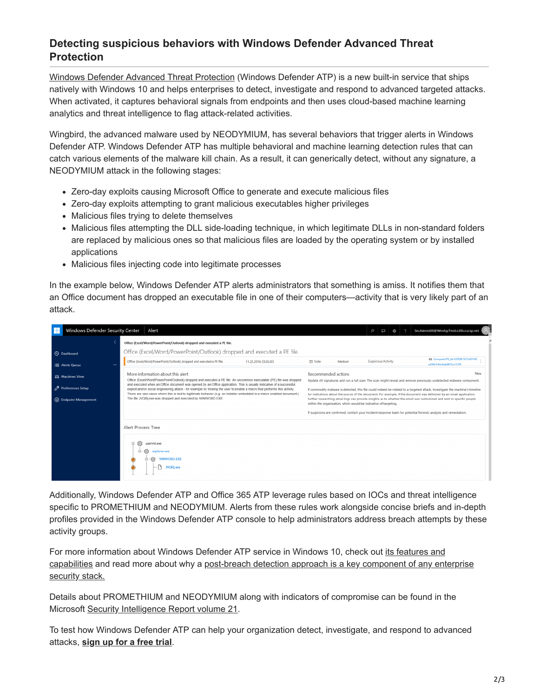#### **Detecting suspicious behaviors with Windows Defender Advanced Threat Protection**

[Windows Defender Advanced Threat Protection](https://blogs.windows.com/windowsexperience/2016/03/01/announcing-windows-defender-advanced-threat-protection/) (Windows Defender ATP) is a new built-in service that ships natively with Windows 10 and helps enterprises to detect, investigate and respond to advanced targeted attacks. When activated, it captures behavioral signals from endpoints and then uses cloud-based machine learning analytics and threat intelligence to flag attack-related activities.

Wingbird, the advanced malware used by NEODYMIUM, has several behaviors that trigger alerts in Windows Defender ATP. Windows Defender ATP has multiple behavioral and machine learning detection rules that can catch various elements of the malware kill chain. As a result, it can generically detect, without any signature, a NEODYMIUM attack in the following stages:

- Zero-day exploits causing Microsoft Office to generate and execute malicious files
- Zero-day exploits attempting to grant malicious executables higher privileges
- Malicious files trying to delete themselves
- Malicious files attempting the DLL side-loading technique, in which legitimate DLLs in non-standard folders are replaced by malicious ones so that malicious files are loaded by the operating system or by installed applications
- Malicious files injecting code into legitimate processes

In the example below, Windows Defender ATP alerts administrators that something is amiss. It notifies them that an Office document has dropped an executable file in one of their computers—activity that is very likely part of an attack.



Additionally, Windows Defender ATP and Office 365 ATP leverage rules based on IOCs and threat intelligence specific to PROMETHIUM and NEODYMIUM. Alerts from these rules work alongside concise briefs and in-depth profiles provided in the Windows Defender ATP console to help administrators address breach attempts by these activity groups.

[For more information about Windows Defender ATP service in Windows 10, check out its features and](https://www.microsoft.com/en-us/WindowsForBusiness/Windows-ATP) [capabilities and read more about why a post-breach detection approach is a key component of any enterprise](http://wincom.blob.core.windows.net/documents/Post%20Breach%20Dealing%20with%20Advanced%20Threats%20Whitepaper.pdf) security stack.

Details about PROMETHIUM and NEODYMIUM along with indicators of compromise can be found in the Microsoft [Security Intelligence Report volume 21](https://www.microsoft.com/security/sir/default.aspx).

To test how Windows Defender ATP can help your organization detect, investigate, and respond to advanced attacks, **[sign up for a free trial](https://www.microsoft.com/en-us/windowsforbusiness/windows-atp?ocid=cx-blog-mmpc)**.